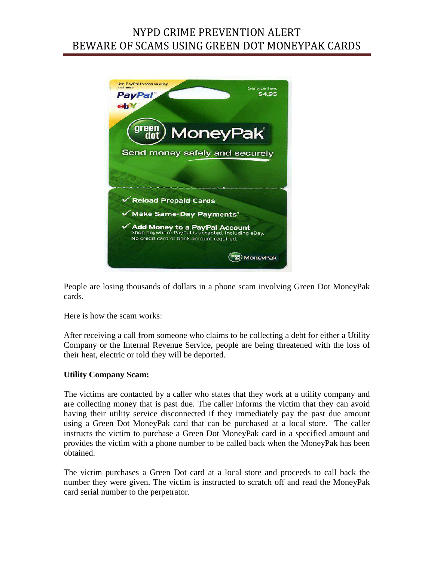# NYPD CRIME PREVENTION ALERT BEWARE OF SCAMS USING GREEN DOT MONEYPAK CARDS



People are losing thousands of dollars in a phone scam involving Green Dot MoneyPak cards.

Here is how the scam works:

After receiving a call from someone who claims to be collecting a debt for either a Utility Company or the Internal Revenue Service, people are being threatened with the loss of their heat, electric or told they will be deported.

#### **Utility Company Scam:**

The victims are contacted by a caller who states that they work at a utility company and are collecting money that is past due. The caller informs the victim that they can avoid having their utility service disconnected if they immediately pay the past due amount using a Green Dot MoneyPak card that can be purchased at a local store. The caller instructs the victim to purchase a Green Dot MoneyPak card in a specified amount and provides the victim with a phone number to be called back when the MoneyPak has been obtained.

The victim purchases a Green Dot card at a local store and proceeds to call back the number they were given. The victim is instructed to scratch off and read the MoneyPak card serial number to the perpetrator.